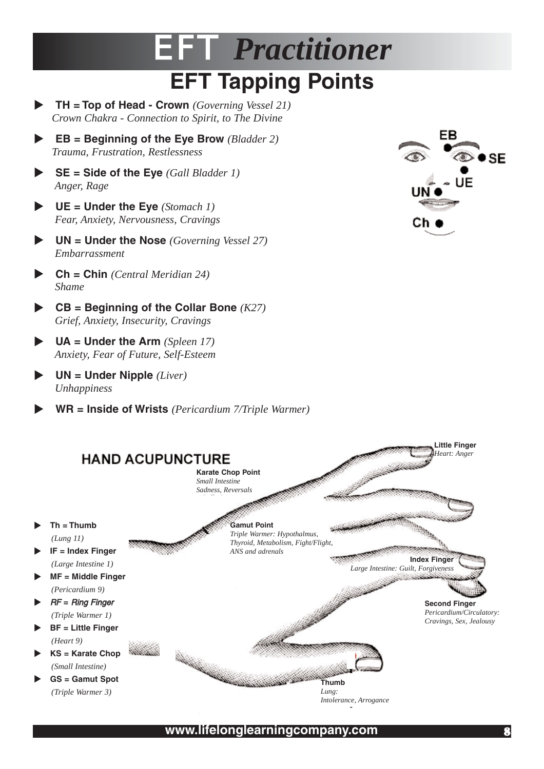## EFT *Practitioner* **EFT Tapping Points**

- X **TH = Top of Head Crown** *(Governing Vessel 21) Crown Chakra - Connection to Spirit, to The Divine*
- X **EB = Beginning of the Eye Brow** *(Bladder 2) Trauma, Frustration, Restlessness*
- X **SE = Side of the Eye** *(Gall Bladder 1) Anger, Rage*
- X **UE = Under the Eye** *(Stomach 1) Fear, Anxiety, Nervousness, Cravings*
- X **UN = Under the Nose** *(Governing Vessel 27) Embarrassment*
- X **Ch = Chin** *(Central Meridian 24) Shame*
- X **CB = Beginning of the Collar Bone** *(K27) Grief, Anxiety, Insecurity, Cravings*
- X **UA = Under the Arm** *(Spleen 17) Anxiety, Fear of Future, Self-Esteem*
- X **UN = Under Nipple** *(Liver) Unhappiness*

X **WR = Inside of Wrists** *(Pericardium 7/Triple Warmer)*





**www.lifelonglearningcompany.com** 8